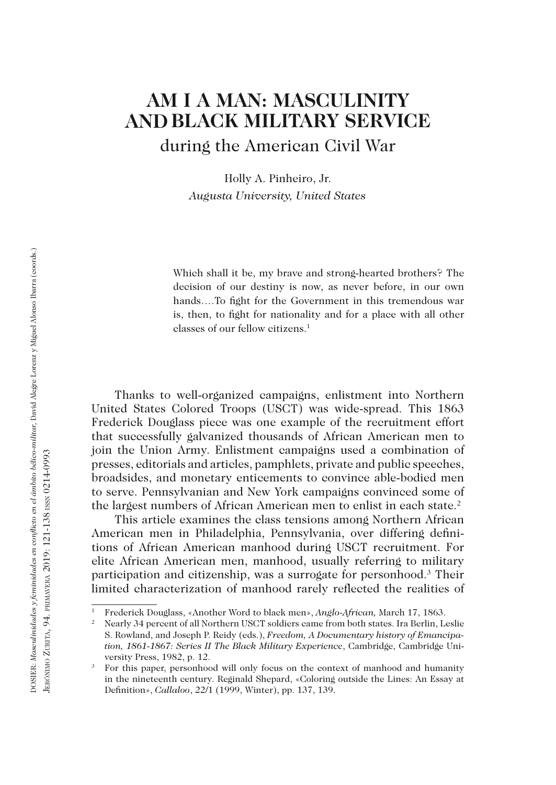# **AM I A MAN: MASCULINITY AND BLACK MILITARY SERVICE** during the American Civil War

Holly A. Pinheiro, Jr. *Augusta University, United States*

Which shall it be, my brave and strong-hearted brothers? The decision of our destiny is now, as never before, in our own hands….To fight for the Government in this tremendous war is, then, to fight for nationality and for a place with all other classes of our fellow citizens.1

Thanks to well-organized campaigns, enlistment into Northern United States Colored Troops (USCT) was wide-spread. This 1863 Frederick Douglass piece was one example of the recruitment effort that successfully galvanized thousands of African American men to join the Union Army. Enlistment campaigns used a combination of presses, editorials and articles, pamphlets, private and public speeches, broadsides, and monetary enticements to convince able-bodied men to serve. Pennsylvanian and New York campaigns convinced some of the largest numbers of African American men to enlist in each state.<sup>2</sup>

This article examines the class tensions among Northern African American men in Philadelphia, Pennsylvania, over differing definitions of African American manhood during USCT recruitment. For elite African American men, manhood, usually referring to military participation and citizenship, was a surrogate for personhood.3 Their limited characterization of manhood rarely reflected the realities of

<sup>&</sup>lt;sup>1</sup> Frederick Douglass, «Another Word to black men», *Anglo-African*, March 17, 1863.<br><sup>2</sup> Nearly 34 percent of all Northern USCT soldiers came from both states. Ira Berlin, Leslie S. Rowland, and Joseph P. Reidy (eds.), *Freedom, A Documentary history of Emancipation, 1861-1867: Series II The Black Military Experience*, Cambridge, Cambridge University Press, 1982, p. 12.<br>3 For this paper, personhood will only focus on the context of manhood and humanity

in the nineteenth century. Reginald Shepard, «Coloring outside the Lines: An Essay at Definition», *Callaloo*, 22/1 (1999, Winter), pp. 137, 139.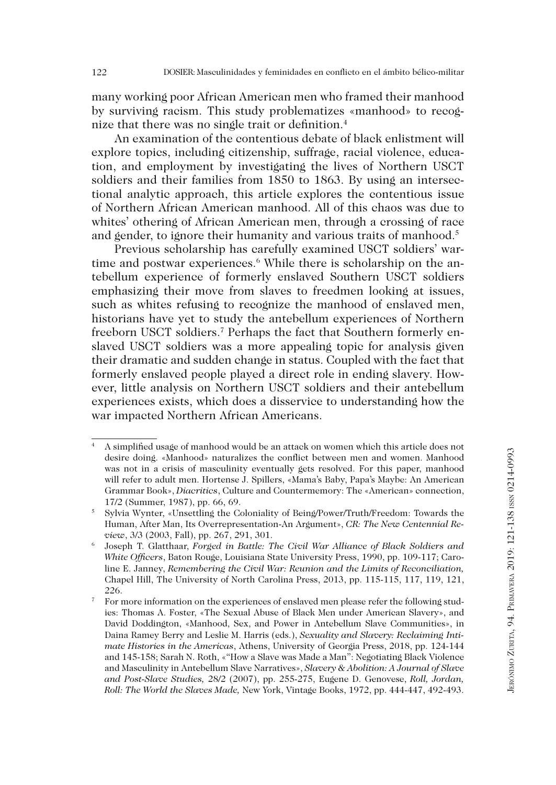many working poor African American men who framed their manhood by surviving racism. This study problematizes «manhood» to recognize that there was no single trait or definition.4

An examination of the contentious debate of black enlistment will explore topics, including citizenship, suffrage, racial violence, education, and employment by investigating the lives of Northern USCT soldiers and their families from 1850 to 1863. By using an intersectional analytic approach, this article explores the contentious issue of Northern African American manhood. All of this chaos was due to whites' othering of African American men, through a crossing of race and gender, to ignore their humanity and various traits of manhood.<sup>5</sup>

Previous scholarship has carefully examined USCT soldiers' wartime and postwar experiences.<sup>6</sup> While there is scholarship on the antebellum experience of formerly enslaved Southern USCT soldiers emphasizing their move from slaves to freedmen looking at issues, such as whites refusing to recognize the manhood of enslaved men, historians have yet to study the antebellum experiences of Northern freeborn USCT soldiers.<sup>7</sup> Perhaps the fact that Southern formerly enslaved USCT soldiers was a more appealing topic for analysis given their dramatic and sudden change in status. Coupled with the fact that formerly enslaved people played a direct role in ending slavery. However, little analysis on Northern USCT soldiers and their antebellum experiences exists, which does a disservice to understanding how the war impacted Northern African Americans.

<sup>4</sup> A simplified usage of manhood would be an attack on women which this article does not desire doing. «Manhood» naturalizes the conflict between men and women. Manhood was not in a crisis of masculinity eventually gets resolved. For this paper, manhood will refer to adult men. Hortense J. Spillers, «Mama's Baby, Papa's Maybe: An American Grammar Book», *Diacritics*, Culture and Countermemory: The «American» connection, 17/2 (Summer, 1987), pp. 66, 69.<br>Sylvia Wynter, «Unsettling the Coloniality of Being/Power/Truth/Freedom: Towards the

Human, After Man, Its Overrepresentation-An Argument», *CR: The New Centennial Review*, 3/3 (2003, Fall), pp. 267, 291, 301.

<sup>6</sup> Joseph T. Glatthaar, *Forged in Battle: The Civil War Alliance of Black Soldiers and White Officers*, Baton Rouge, Louisiana State University Press, 1990, pp. 109-117; Caroline E. Janney, *Remembering the Civil War: Reunion and the Limits of Reconciliation,* Chapel Hill, The University of North Carolina Press, 2013, pp. 115-115, 117, 119, 121, 226. The information on the experiences of enslaved men please refer the following stud-

ies: Thomas A. Foster, «The Sexual Abuse of Black Men under American Slavery», and David Doddington, «Manhood, Sex, and Power in Antebellum Slave Communities», in Daina Ramey Berry and Leslie M. Harris (eds.), *Sexuality and Slavery: Reclaiming Intimate Histories in the Americas*, Athens, University of Georgia Press, 2018, pp. 124-144 and 145-158; Sarah N. Roth, «"How a Slave was Made a Man": Negotiating Black Violence and Masculinity in Antebellum Slave Narratives», *Slavery & Abolition: A Journal of Slave and Post-Slave Studies,* 28/2 (2007), pp. 255-275, Eugene D. Genovese, *Roll, Jordan, Roll: The World the Slaves Made,* New York, Vintage Books, 1972, pp. 444-447, 492-493.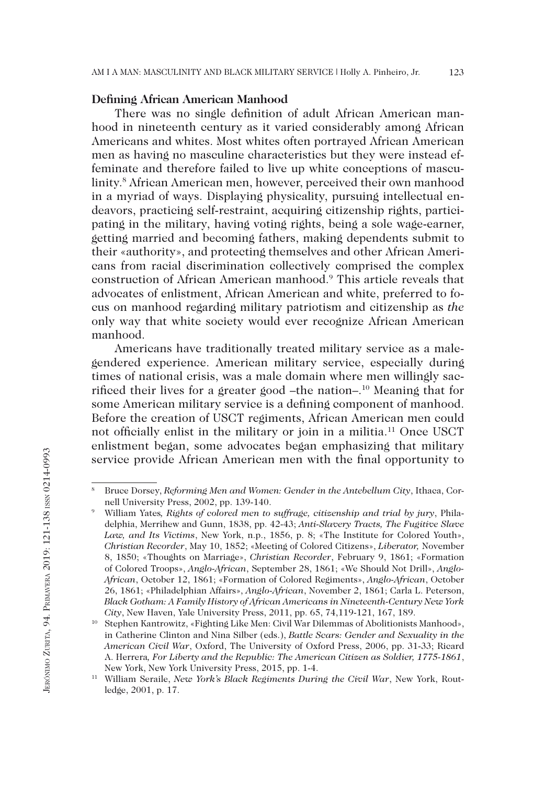## **Defining African American Manhood**

There was no single definition of adult African American manhood in nineteenth century as it varied considerably among African Americans and whites. Most whites often portrayed African American men as having no masculine characteristics but they were instead effeminate and therefore failed to live up white conceptions of masculinity.8 African American men, however, perceived their own manhood in a myriad of ways. Displaying physicality, pursuing intellectual endeavors, practicing self-restraint, acquiring citizenship rights, participating in the military, having voting rights, being a sole wage-earner, getting married and becoming fathers, making dependents submit to their «authority», and protecting themselves and other African Americans from racial discrimination collectively comprised the complex construction of African American manhood.9 This article reveals that advocates of enlistment, African American and white, preferred to focus on manhood regarding military patriotism and citizenship as *the*  only way that white society would ever recognize African American manhood.

Americans have traditionally treated military service as a malegendered experience. American military service, especially during times of national crisis, was a male domain where men willingly sacrificed their lives for a greater good –the nation–.10 Meaning that for some American military service is a defining component of manhood. Before the creation of USCT regiments, African American men could not officially enlist in the military or join in a militia.11 Once USCT enlistment began, some advocates began emphasizing that military service provide African American men with the final opportunity to

<sup>8</sup> Bruce Dorsey, *Reforming Men and Women: Gender in the Antebellum City*, Ithaca, Cornell University Press, 2002, pp. 139-140.<br>William Yates, Rights of colored men to suffrage, citizenship and trial by jury, Phila-

delphia, Merrihew and Gunn, 1838, pp. 42-43; *Anti-Slavery Tracts, The Fugitive Slave Law, and Its Victims*, New York, n.p., 1856, p. 8; «The Institute for Colored Youth», *Christian Recorder*, May 10, 1852; «Meeting of Colored Citizens», *Liberator,* November 8, 1850; «Thoughts on Marriage», *Christian Recorder*, February 9, 1861; «Formation of Colored Troops», *Anglo-African*, September 28, 1861; «We Should Not Drill», *Anglo-African*, October 12, 1861; «Formation of Colored Regiments», *Anglo-African*, October 26, 1861; «Philadelphian Affairs», *Anglo-African*, November 2, 1861; Carla L. Peterson, *Black Gotham: A Family History of African Americans in Nineteenth-Century New York City*, New Haven, Yale University Press, 2011, pp. 65, 74,119-121, 167, 189.

<sup>&</sup>lt;sup>10</sup> Stephen Kantrowitz, «Fighting Like Men: Civil War Dilemmas of Abolitionists Manhood», in Catherine Clinton and Nina Silber (eds.), *Battle Scars: Gender and Sexuality in the American Civil War*, Oxford, The University of Oxford Press, 2006, pp. 31-33; Ricard A. Herrera*, For Liberty and the Republic: The American Citizen as Soldier, 1775-1861*, New York, New York University Press, 2015, pp. 1-4. 11 William Seraile, *New York's Black Regiments During the Civil War*, New York, Rout-

ledge, 2001, p. 17.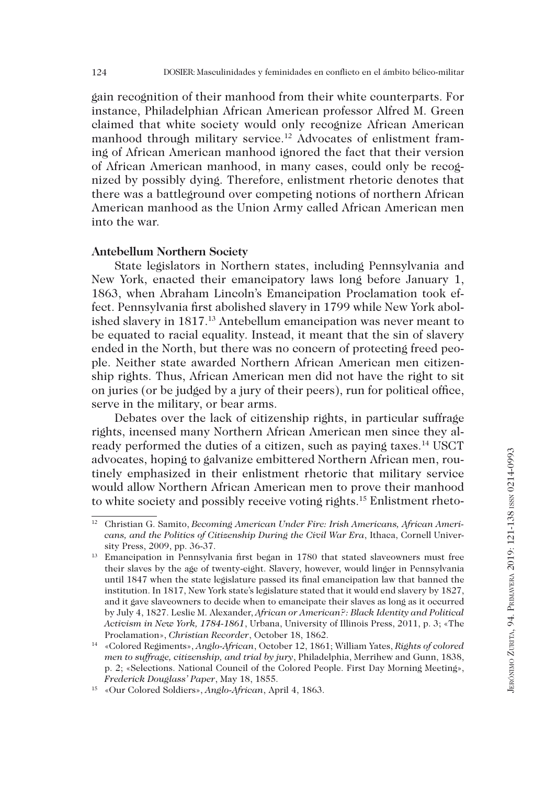gain recognition of their manhood from their white counterparts. For instance, Philadelphian African American professor Alfred M. Green claimed that white society would only recognize African American manhood through military service.<sup>12</sup> Advocates of enlistment framing of African American manhood ignored the fact that their version of African American manhood, in many cases, could only be recognized by possibly dying. Therefore, enlistment rhetoric denotes that there was a battleground over competing notions of northern African American manhood as the Union Army called African American men into the war.

#### **Antebellum Northern Society**

State legislators in Northern states, including Pennsylvania and New York, enacted their emancipatory laws long before January 1, 1863, when Abraham Lincoln's Emancipation Proclamation took effect. Pennsylvania first abolished slavery in 1799 while New York abolished slavery in 1817.13 Antebellum emancipation was never meant to be equated to racial equality. Instead, it meant that the sin of slavery ended in the North, but there was no concern of protecting freed people. Neither state awarded Northern African American men citizenship rights. Thus, African American men did not have the right to sit on juries (or be judged by a jury of their peers), run for political office, serve in the military, or bear arms.

Debates over the lack of citizenship rights, in particular suffrage rights, incensed many Northern African American men since they already performed the duties of a citizen, such as paying taxes.<sup>14</sup> USCT advocates, hoping to galvanize embittered Northern African men, routinely emphasized in their enlistment rhetoric that military service would allow Northern African American men to prove their manhood to white society and possibly receive voting rights.15 Enlistment rheto-

<sup>12</sup> Christian G. Samito, *Becoming American Under Fire: Irish Americans, African Americans, and the Politics of Citizenship During the Civil War Era*, Ithaca, Cornell University Press, 2009, pp. 36-37.<br><sup>13</sup> Emancipation in Pennsylvania first began in 1780 that stated slaveowners must free

their slaves by the age of twenty-eight. Slavery, however, would linger in Pennsylvania until 1847 when the state legislature passed its final emancipation law that banned the institution. In 1817, New York state's legislature stated that it would end slavery by 1827, and it gave slaveowners to decide when to emancipate their slaves as long as it occurred by July 4, 1827. Leslie M. Alexander, *African or American?: Black Identity and Political Activism in New York, 1784-1861*, Urbana, University of Illinois Press, 2011, p. 3; «The Proclamation», *Christian Recorder*, October 18, 1862.

<sup>14</sup> «Colored Regiments», *Anglo-African*, October 12, 1861; William Yates, *Rights of colored men to suffrage, citizenship, and trial by jury*, Philadelphia, Merrihew and Gunn, 1838, p. 2; «Selections. National Council of the Colored People. First Day Morning Meeting», *Frederick Douglass' Paper*, May 18, 1855. 15 «Our Colored Soldiers», *Anglo-African*, April 4, 1863.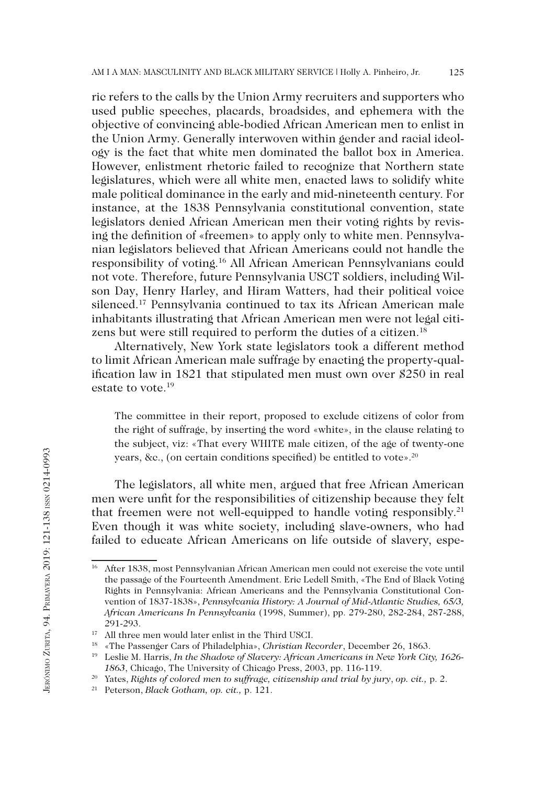ric refers to the calls by the Union Army recruiters and supporters who used public speeches, placards, broadsides, and ephemera with the objective of convincing able-bodied African American men to enlist in the Union Army. Generally interwoven within gender and racial ideology is the fact that white men dominated the ballot box in America. However, enlistment rhetoric failed to recognize that Northern state legislatures, which were all white men, enacted laws to solidify white male political dominance in the early and mid-nineteenth century. For instance, at the 1838 Pennsylvania constitutional convention, state legislators denied African American men their voting rights by revising the definition of «freemen» to apply only to white men. Pennsylvanian legislators believed that African Americans could not handle the responsibility of voting.16 All African American Pennsylvanians could not vote. Therefore, future Pennsylvania USCT soldiers, including Wilson Day, Henry Harley, and Hiram Watters, had their political voice silenced.<sup>17</sup> Pennsylvania continued to tax its African American male inhabitants illustrating that African American men were not legal citizens but were still required to perform the duties of a citizen.<sup>18</sup>

Alternatively, New York state legislators took a different method to limit African American male suffrage by enacting the property-qualification law in 1821 that stipulated men must own over \$250 in real estate to vote <sup>19</sup>

The committee in their report, proposed to exclude citizens of color from the right of suffrage, by inserting the word «white», in the clause relating to the subject, viz: «That every WHITE male citizen, of the age of twenty-one years, &c., (on certain conditions specified) be entitled to vote».20

The legislators, all white men, argued that free African American men were unfit for the responsibilities of citizenship because they felt that freemen were not well-equipped to handle voting responsibly.<sup>21</sup> Even though it was white society, including slave-owners, who had failed to educate African Americans on life outside of slavery, espe-

<sup>&</sup>lt;sup>16</sup> After 1838, most Pennsylvanian African American men could not exercise the vote until the passage of the Fourteenth Amendment. Eric Ledell Smith, «The End of Black Voting Rights in Pennsylvania: African Americans and the Pennsylvania Constitutional Convention of 1837-1838», *Pennsylvania History: A Journal of Mid-Atlantic Studies, 65/3, African Americans In Pennsylvania* (1998, Summer), pp. 279-280, 282-284, 287-288, 291-293.<br><sup>17</sup> All three men would later enlist in the Third USCI.

<sup>&</sup>lt;sup>18</sup> «The Passenger Cars of Philadelphia», Christian Recorder, December 26, 1863.<br><sup>19</sup> Leslie M. Harris, *In the Shadow of Slavery: African Americans in New York City, 1626-*

*<sup>1863</sup>*, Chicago, The University of Chicago Press, 2003, pp. 116-119.

<sup>20</sup> Yates, *Rights of colored men to suffrage, citizenship and trial by jury*, *op. cit.,* p. 2. 21 Peterson, *Black Gotham, op. cit.,* p. 121.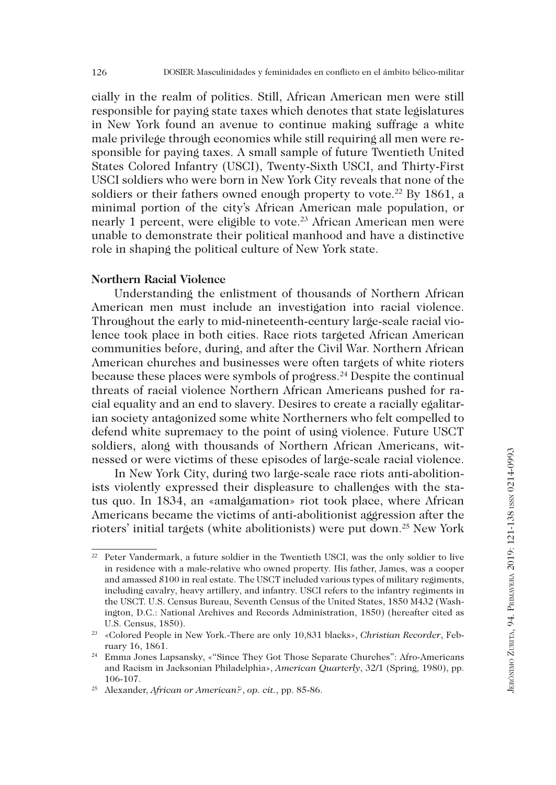cially in the realm of politics. Still, African American men were still responsible for paying state taxes which denotes that state legislatures in New York found an avenue to continue making suffrage a white male privilege through economics while still requiring all men were responsible for paying taxes. A small sample of future Twentieth United States Colored Infantry (USCI), Twenty-Sixth USCI, and Thirty-First USCI soldiers who were born in New York City reveals that none of the soldiers or their fathers owned enough property to vote.<sup>22</sup> By 1861, a minimal portion of the city's African American male population, or nearly 1 percent, were eligible to vote.<sup>23</sup> African American men were unable to demonstrate their political manhood and have a distinctive role in shaping the political culture of New York state.

# **Northern Racial Violence**

Understanding the enlistment of thousands of Northern African American men must include an investigation into racial violence. Throughout the early to mid-nineteenth-century large-scale racial violence took place in both cities. Race riots targeted African American communities before, during, and after the Civil War. Northern African American churches and businesses were often targets of white rioters because these places were symbols of progress.24 Despite the continual threats of racial violence Northern African Americans pushed for racial equality and an end to slavery. Desires to create a racially egalitarian society antagonized some white Northerners who felt compelled to defend white supremacy to the point of using violence. Future USCT soldiers, along with thousands of Northern African Americans, witnessed or were victims of these episodes of large-scale racial violence.

In New York City, during two large-scale race riots anti-abolitionists violently expressed their displeasure to challenges with the status quo. In 1834, an «amalgamation» riot took place, where African Americans became the victims of anti-abolitionist aggression after the rioters' initial targets (white abolitionists) were put down.25 New York

<sup>&</sup>lt;sup>22</sup> Peter Vandermark, a future soldier in the Twentieth USCI, was the only soldier to live in residence with a male-relative who owned property. His father, James, was a cooper and amassed \$100 in real estate. The USCT included various types of military regiments, including cavalry, heavy artillery, and infantry. USCI refers to the infantry regiments in the USCT. U.S. Census Bureau, Seventh Census of the United States, 1850 M432 (Washington, D.C.: National Archives and Records Administration, 1850) (hereafter cited as U.S. Census, 1850).

<sup>23</sup> «Colored People in New York.-There are only 10,831 blacks», *Christian Recorder*, February 16, 1861. 24 Emma Jones Lapsansky, «"Since They Got Those Separate Churches": Afro-Americans

and Racism in Jacksonian Philadelphia», *American Quarterly*, 32/1 (Spring, 1980), pp. 106-107.

<sup>25</sup> Alexander, *African or American?*, *op. cit.*, pp. 85-86.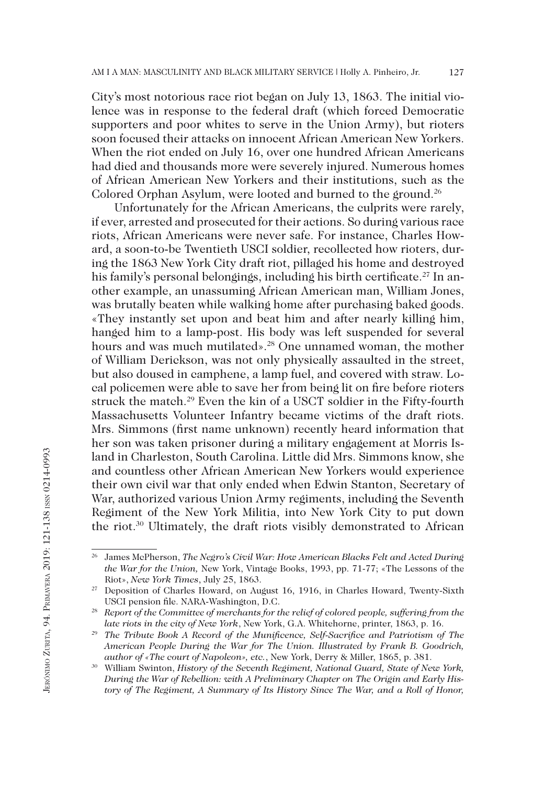City's most notorious race riot began on July 13, 1863. The initial violence was in response to the federal draft (which forced Democratic supporters and poor whites to serve in the Union Army), but rioters soon focused their attacks on innocent African American New Yorkers. When the riot ended on July 16, over one hundred African Americans had died and thousands more were severely injured. Numerous homes of African American New Yorkers and their institutions, such as the Colored Orphan Asylum, were looted and burned to the ground.<sup>26</sup>

Unfortunately for the African Americans, the culprits were rarely, if ever, arrested and prosecuted for their actions. So during various race riots, African Americans were never safe. For instance, Charles Howard, a soon-to-be Twentieth USCI soldier, recollected how rioters, during the 1863 New York City draft riot, pillaged his home and destroyed his family's personal belongings, including his birth certificate.<sup>27</sup> In another example, an unassuming African American man, William Jones, was brutally beaten while walking home after purchasing baked goods. «They instantly set upon and beat him and after nearly killing him, hanged him to a lamp-post. His body was left suspended for several hours and was much mutilated».<sup>28</sup> One unnamed woman, the mother of William Derickson, was not only physically assaulted in the street, but also doused in camphene, a lamp fuel, and covered with straw. Local policemen were able to save her from being lit on fire before rioters struck the match.29 Even the kin of a USCT soldier in the Fifty-fourth Massachusetts Volunteer Infantry became victims of the draft riots. Mrs. Simmons (first name unknown) recently heard information that her son was taken prisoner during a military engagement at Morris Island in Charleston, South Carolina. Little did Mrs. Simmons know, she and countless other African American New Yorkers would experience their own civil war that only ended when Edwin Stanton, Secretary of War, authorized various Union Army regiments, including the Seventh Regiment of the New York Militia, into New York City to put down the riot.30 Ultimately, the draft riots visibly demonstrated to African

<sup>26</sup> James McPherson, *The Negro's Civil War: How American Blacks Felt and Acted During the War for the Union,* New York, Vintage Books, 1993, pp. 71-77; «The Lessons of the Riot», *New York Times*, July 25, 1863.

<sup>27</sup> Deposition of Charles Howard, on August 16, 1916, in Charles Howard, Twenty-Sixth USCI pension file. NARA-Washington, D.C. 28 *Report of the Committee of merchants for the relief of colored people, suffering from the* 

*late riots in the city of New York*, New York, G.A. Whitehorne, printer, 1863, p. 16.

<sup>&</sup>lt;sup>29</sup> The Tribute Book A Record of the Munificence, Self-Sacrifice and Patriotism of The *American People During the War for The Union. Illustrated by Frank B. Goodrich, author of «The court of Napoleon», etc.*, New York, Derry & Miller, 1865, p. 381.

<sup>30</sup> William Swinton, *History of the Seventh Regiment, National Guard, State of New York, During the War of Rebellion: with A Preliminary Chapter on The Origin and Early History of The Regiment, A Summary of Its History Since The War, and a Roll of Honor,*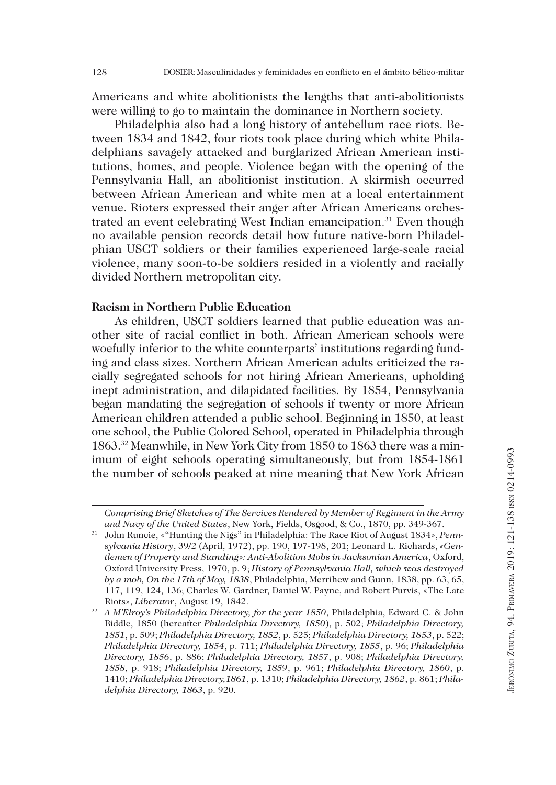Americans and white abolitionists the lengths that anti-abolitionists were willing to go to maintain the dominance in Northern society.

Philadelphia also had a long history of antebellum race riots. Between 1834 and 1842, four riots took place during which white Philadelphians savagely attacked and burglarized African American institutions, homes, and people. Violence began with the opening of the Pennsylvania Hall, an abolitionist institution. A skirmish occurred between African American and white men at a local entertainment venue. Rioters expressed their anger after African Americans orchestrated an event celebrating West Indian emancipation.<sup>31</sup> Even though no available pension records detail how future native-born Philadelphian USCT soldiers or their families experienced large-scale racial violence, many soon-to-be soldiers resided in a violently and racially divided Northern metropolitan city.

# **Racism in Northern Public Education**

As children, USCT soldiers learned that public education was another site of racial conflict in both. African American schools were woefully inferior to the white counterparts' institutions regarding funding and class sizes. Northern African American adults criticized the racially segregated schools for not hiring African Americans, upholding inept administration, and dilapidated facilities. By 1854, Pennsylvania began mandating the segregation of schools if twenty or more African American children attended a public school. Beginning in 1850, at least one school, the Public Colored School, operated in Philadelphia through 1863.32 Meanwhile, in New York City from 1850 to 1863 there was a minimum of eight schools operating simultaneously, but from 1854-1861 the number of schools peaked at nine meaning that New York African

*Comprising Brief Sketches of The Services Rendered by Member of Regiment in the Army and Navy of the United States*, New York, Fields, Osgood, & Co., 1870, pp. 349-367.<br>John Runcie, «"Hunting the Nigs" in Philadelphia: The Race Riot of August 1834», *Penn-*

*sylvania History*, 39/2 (April, 1972), pp. 190, 197-198, 201; Leonard L. Richards, *«Gentlemen of Property and Standing»: Anti-Abolition Mobs in Jacksonian America*, Oxford, Oxford University Press, 1970, p. 9; *History of Pennsylvania Hall, which was destroyed by a mob, On the 17th of May, 1838*, Philadelphia, Merrihew and Gunn, 1838, pp. 63, 65, 117, 119, 124, 136; Charles W. Gardner, Daniel W. Payne, and Robert Purvis, «The Late Riots», *Liberator*, August 19, 1842.

<sup>32</sup> *A M'Elroy's Philadelphia Directory, for the year 1850*, Philadelphia, Edward C. & John Biddle, 1850 (hereafter *Philadelphia Directory, 1850*), p. 502; *Philadelphia Directory, 1851*, p. 509; *Philadelphia Directory, 1852*, p. 525; *Philadelphia Directory, 1853*, p. 522; *Philadelphia Directory, 1854*, p. 711; *Philadelphia Directory, 1855*, p. 96; *Philadelphia Directory, 1856*, p. 886; *Philadelphia Directory, 1857*, p. 908; *Philadelphia Directory, 1858*, p. 918; *Philadelphia Directory, 1859*, p. 961; *Philadelphia Directory, 1860*, p. 1410; *Philadelphia Directory,1861*, p. 1310; *Philadelphia Directory, 1862*, p. 861; *Philadelphia Directory, 1863*, p. 920.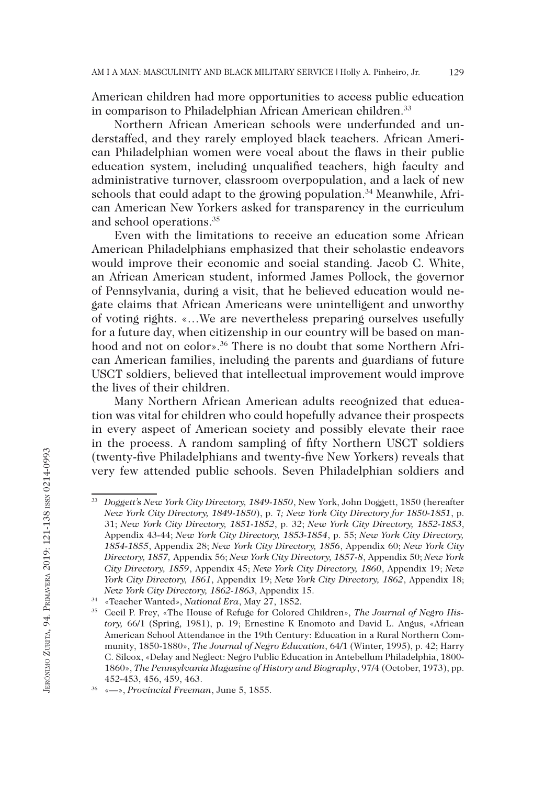American children had more opportunities to access public education in comparison to Philadelphian African American children.<sup>33</sup>

Northern African American schools were underfunded and understaffed, and they rarely employed black teachers. African American Philadelphian women were vocal about the flaws in their public education system, including unqualified teachers, high faculty and administrative turnover, classroom overpopulation, and a lack of new schools that could adapt to the growing population.<sup>34</sup> Meanwhile, African American New Yorkers asked for transparency in the curriculum and school operations.35

Even with the limitations to receive an education some African American Philadelphians emphasized that their scholastic endeavors would improve their economic and social standing. Jacob C. White, an African American student, informed James Pollock, the governor of Pennsylvania, during a visit, that he believed education would negate claims that African Americans were unintelligent and unworthy of voting rights. «…We are nevertheless preparing ourselves usefully for a future day, when citizenship in our country will be based on manhood and not on color».<sup>36</sup> There is no doubt that some Northern African American families, including the parents and guardians of future USCT soldiers, believed that intellectual improvement would improve the lives of their children.

Many Northern African American adults recognized that education was vital for children who could hopefully advance their prospects in every aspect of American society and possibly elevate their race in the process. A random sampling of fifty Northern USCT soldiers (twenty-five Philadelphians and twenty-five New Yorkers) reveals that very few attended public schools. Seven Philadelphian soldiers and

<sup>33</sup> *Doggett's New York City Directory, 1849-1850*, New York, John Doggett, 1850 (hereafter *New York City Directory, 1849-1850*), p. 7*; New York City Directory for 1850-1851*, p. 31; *New York City Directory, 1851-1852*, p. 32; *New York City Directory, 1852-1853*, Appendix 43-44; *New York City Directory, 1853-1854*, p. 55; *New York City Directory, 1854-1855*, Appendix 28; *New York City Directory, 1856*, Appendix 60; *New York City Directory, 1857,* Appendix 56; *New York City Directory, 1857-8*, Appendix 50; *New York City Directory, 1859*, Appendix 45; *New York City Directory, 1860*, Appendix 19; *New York City Directory, 1861*, Appendix 19; *New York City Directory, 1862*, Appendix 18; *New York City Directory, 1862-1863*, Appendix 15.

<sup>&</sup>lt;sup>35</sup> Cecil P. Frey, «The House of Refuge for Colored Children», *The Journal of Negro History,* 66/1 (Spring, 1981), p. 19; Ernestine K Enomoto and David L. Angus, «African American School Attendance in the 19th Century: Education in a Rural Northern Community, 1850-1880», *The Journal of Negro Education*, 64/1 (Winter, 1995), p. 42; Harry C. Silcox, «Delay and Neglect: Negro Public Education in Antebellum Philadelphia, 1800- 1860», *The Pennsylvania Magazine of History and Biography*, 97/4 (October, 1973), pp. 452-453, 456, 459, 463. 36 «—», *Provincial Freeman*, June 5, 1855.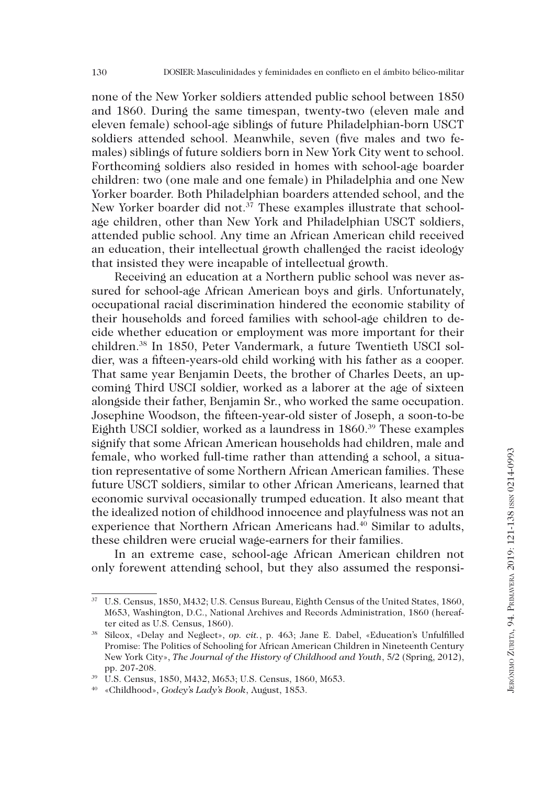none of the New Yorker soldiers attended public school between 1850 and 1860. During the same timespan, twenty-two (eleven male and eleven female) school-age siblings of future Philadelphian-born USCT soldiers attended school. Meanwhile, seven (five males and two females) siblings of future soldiers born in New York City went to school. Forthcoming soldiers also resided in homes with school-age boarder children: two (one male and one female) in Philadelphia and one New Yorker boarder. Both Philadelphian boarders attended school, and the New Yorker boarder did not.<sup>37</sup> These examples illustrate that schoolage children, other than New York and Philadelphian USCT soldiers, attended public school. Any time an African American child received an education, their intellectual growth challenged the racist ideology that insisted they were incapable of intellectual growth.

Receiving an education at a Northern public school was never assured for school-age African American boys and girls. Unfortunately, occupational racial discrimination hindered the economic stability of their households and forced families with school-age children to decide whether education or employment was more important for their children.38 In 1850, Peter Vandermark, a future Twentieth USCI soldier, was a fifteen-years-old child working with his father as a cooper. That same year Benjamin Deets, the brother of Charles Deets, an upcoming Third USCI soldier, worked as a laborer at the age of sixteen alongside their father, Benjamin Sr., who worked the same occupation. Josephine Woodson, the fifteen-year-old sister of Joseph, a soon-to-be Eighth USCI soldier, worked as a laundress in 1860.39 These examples signify that some African American households had children, male and female, who worked full-time rather than attending a school, a situation representative of some Northern African American families. These future USCT soldiers, similar to other African Americans, learned that economic survival occasionally trumped education. It also meant that the idealized notion of childhood innocence and playfulness was not an experience that Northern African Americans had.40 Similar to adults, these children were crucial wage-earners for their families.

In an extreme case, school-age African American children not only forewent attending school, but they also assumed the responsi-

<sup>37</sup> U.S. Census, 1850, M432; U.S. Census Bureau, Eighth Census of the United States, 1860, M653, Washington, D.C., National Archives and Records Administration, 1860 (hereafter cited as U.S. Census, 1860). 38 Silcox, «Delay and Neglect», *op. cit.*, p. 463; Jane E. Dabel, «Education's Unfulfilled

Promise: The Politics of Schooling for African American Children in Nineteenth Century New York City», *The Journal of the History of Childhood and Youth*, 5/2 (Spring, 2012), pp. 207-208.

<sup>39</sup> U.S. Census, 1850, M432, M653; U.S. Census, 1860, M653.

<sup>40</sup> «Childhood», *Godey's Lady's Book*, August, 1853.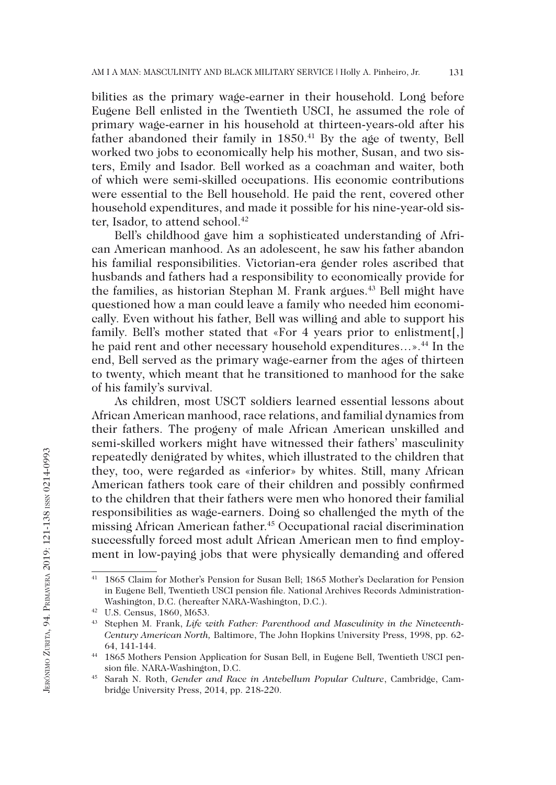bilities as the primary wage-earner in their household. Long before Eugene Bell enlisted in the Twentieth USCI, he assumed the role of primary wage-earner in his household at thirteen-years-old after his father abandoned their family in 1850.<sup>41</sup> By the age of twenty, Bell worked two jobs to economically help his mother, Susan, and two sisters, Emily and Isador. Bell worked as a coachman and waiter, both of which were semi-skilled occupations. His economic contributions were essential to the Bell household. He paid the rent, covered other household expenditures, and made it possible for his nine-year-old sister, Isador, to attend school.<sup>42</sup>

Bell's childhood gave him a sophisticated understanding of African American manhood. As an adolescent, he saw his father abandon his familial responsibilities. Victorian-era gender roles ascribed that husbands and fathers had a responsibility to economically provide for the families, as historian Stephan M. Frank argues.<sup>43</sup> Bell might have questioned how a man could leave a family who needed him economically. Even without his father, Bell was willing and able to support his family. Bell's mother stated that «For 4 years prior to enlistment[,] he paid rent and other necessary household expenditures...».<sup>44</sup> In the end, Bell served as the primary wage-earner from the ages of thirteen to twenty, which meant that he transitioned to manhood for the sake of his family's survival.

As children, most USCT soldiers learned essential lessons about African American manhood, race relations, and familial dynamics from their fathers. The progeny of male African American unskilled and semi-skilled workers might have witnessed their fathers' masculinity repeatedly denigrated by whites, which illustrated to the children that they, too, were regarded as «inferior» by whites. Still, many African American fathers took care of their children and possibly confirmed to the children that their fathers were men who honored their familial responsibilities as wage-earners. Doing so challenged the myth of the missing African American father.45 Occupational racial discrimination successfully forced most adult African American men to find employment in low-paying jobs that were physically demanding and offered

<sup>41</sup> 1865 Claim for Mother's Pension for Susan Bell; 1865 Mother's Declaration for Pension in Eugene Bell, Twentieth USCI pension file. National Archives Records Administration-Washington, D.C. (hereafter NARA-Washington, D.C.).

<sup>&</sup>lt;sup>43</sup> Stephen M. Frank, *Life with Father: Parenthood and Masculinity in the Nineteenth-Century American North,* Baltimore, The John Hopkins University Press, 1998, pp. 62- 64, 141-144. 44 1865 Mothers Pension Application for Susan Bell, in Eugene Bell, Twentieth USCI pen-

sion file. NARA-Washington, D.C.

<sup>45</sup> Sarah N. Roth, *Gender and Race in Antebellum Popular Culture*, Cambridge, Cambridge University Press, 2014, pp. 218-220.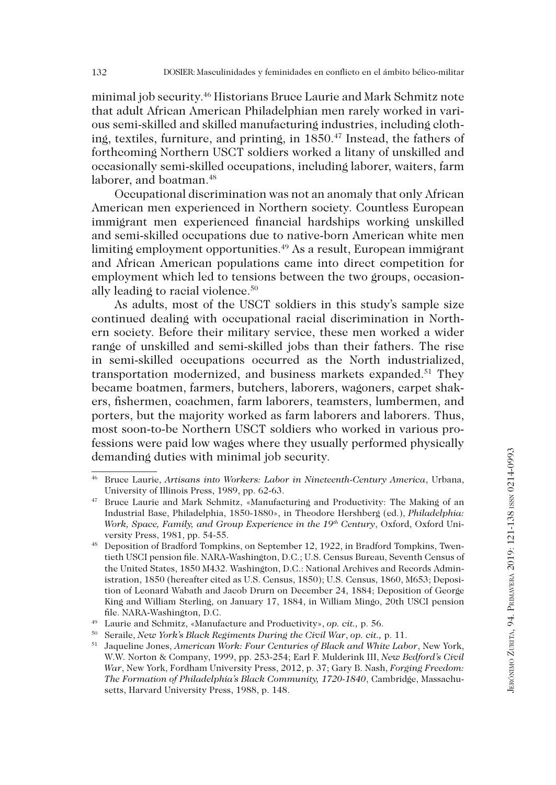minimal job security.46 Historians Bruce Laurie and Mark Schmitz note that adult African American Philadelphian men rarely worked in various semi-skilled and skilled manufacturing industries, including clothing, textiles, furniture, and printing, in 1850.<sup>47</sup> Instead, the fathers of forthcoming Northern USCT soldiers worked a litany of unskilled and occasionally semi-skilled occupations, including laborer, waiters, farm laborer, and boatman.<sup>48</sup>

Occupational discrimination was not an anomaly that only African American men experienced in Northern society. Countless European immigrant men experienced financial hardships working unskilled and semi-skilled occupations due to native-born American white men limiting employment opportunities.<sup>49</sup> As a result, European immigrant and African American populations came into direct competition for employment which led to tensions between the two groups, occasionally leading to racial violence.<sup>50</sup>

As adults, most of the USCT soldiers in this study's sample size continued dealing with occupational racial discrimination in Northern society. Before their military service, these men worked a wider range of unskilled and semi-skilled jobs than their fathers. The rise in semi-skilled occupations occurred as the North industrialized, transportation modernized, and business markets expanded.<sup>51</sup> They became boatmen, farmers, butchers, laborers, wagoners, carpet shakers, fishermen, coachmen, farm laborers, teamsters, lumbermen, and porters, but the majority worked as farm laborers and laborers. Thus, most soon-to-be Northern USCT soldiers who worked in various professions were paid low wages where they usually performed physically demanding duties with minimal job security.

<sup>46</sup> Bruce Laurie, *Artisans into Workers: Labor in Nineteenth-Century America*, Urbana, University of Illinois Press, 1989, pp. 62-63.

<sup>47</sup> Bruce Laurie and Mark Schmitz, «Manufacturing and Productivity: The Making of an Industrial Base, Philadelphia, 1850-1880», in Theodore Hershberg (ed.), *Philadelphia: Work, Space, Family, and Group Experience in the 19th Century*, Oxford, Oxford University Press, 1981, pp. 54-55.<br><sup>48</sup> Deposition of Bradford Tompkins, on September 12, 1922, in Bradford Tompkins, Twen-

tieth USCI pension file. NARA-Washington, D.C.; U.S. Census Bureau, Seventh Census of the United States, 1850 M432. Washington, D.C.: National Archives and Records Administration, 1850 (hereafter cited as U.S. Census, 1850); U.S. Census, 1860, M653; Deposition of Leonard Wabath and Jacob Drurn on December 24, 1884; Deposition of George King and William Sterling, on January 17, 1884, in William Mingo, 20th USCI pension file. NARA-Washington, D.C. 49 Laurie and Schmitz, «Manufacture and Productivity», *op. cit.,* p. 56.

<sup>50</sup> Seraile, *New York's Black Regiments During the Civil War*, *op. cit.,* p. 11. 51 Jaqueline Jones, *American Work: Four Centuries of Black and White Labor*, New York, W.W. Norton & Company, 1999, pp. 253-254; Earl F. Mulderink III, *New Bedford's Civil War*, New York, Fordham University Press, 2012, p. 37; Gary B. Nash, *Forging Freedom: The Formation of Philadelphia's Black Community, 1720-1840*, Cambridge, Massachusetts, Harvard University Press, 1988, p. 148.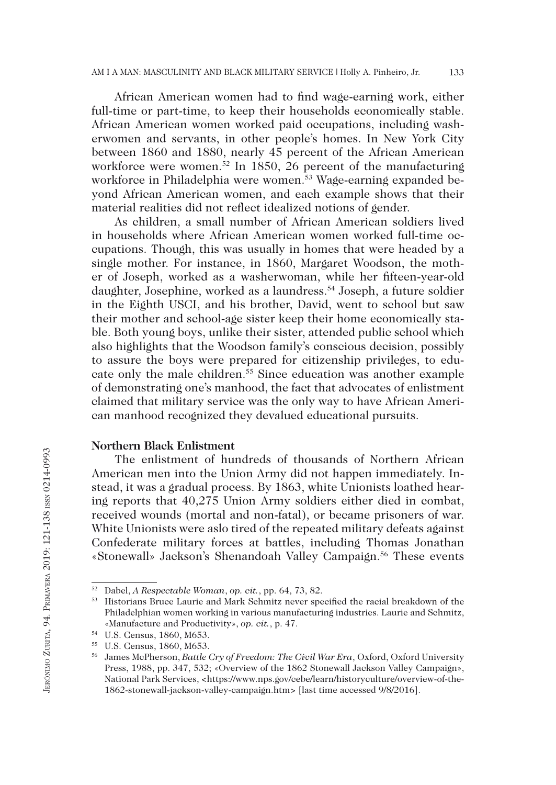African American women had to find wage-earning work, either full-time or part-time, to keep their households economically stable. African American women worked paid occupations, including washerwomen and servants, in other people's homes. In New York City between 1860 and 1880, nearly 45 percent of the African American workforce were women.<sup>52</sup> In 1850, 26 percent of the manufacturing workforce in Philadelphia were women.53 Wage-earning expanded beyond African American women, and each example shows that their material realities did not reflect idealized notions of gender.

As children, a small number of African American soldiers lived in households where African American women worked full-time occupations. Though, this was usually in homes that were headed by a single mother. For instance, in 1860, Margaret Woodson, the mother of Joseph, worked as a washerwoman, while her fifteen-year-old daughter, Josephine, worked as a laundress.54 Joseph, a future soldier in the Eighth USCI, and his brother, David, went to school but saw their mother and school-age sister keep their home economically stable. Both young boys, unlike their sister, attended public school which also highlights that the Woodson family's conscious decision, possibly to assure the boys were prepared for citizenship privileges, to educate only the male children.55 Since education was another example of demonstrating one's manhood, the fact that advocates of enlistment claimed that military service was the only way to have African American manhood recognized they devalued educational pursuits.

### **Northern Black Enlistment**

The enlistment of hundreds of thousands of Northern African American men into the Union Army did not happen immediately. Instead, it was a gradual process. By 1863, white Unionists loathed hearing reports that 40,275 Union Army soldiers either died in combat, received wounds (mortal and non-fatal), or became prisoners of war. White Unionists were aslo tired of the repeated military defeats against Confederate military forces at battles, including Thomas Jonathan «Stonewall» Jackson's Shenandoah Valley Campaign.<sup>56</sup> These events

<sup>52</sup> Dabel, *A Respectable Woman*, *op. cit.*, pp. 64, 73, 82.

<sup>53</sup> Historians Bruce Laurie and Mark Schmitz never specified the racial breakdown of the Philadelphian women working in various manufacturing industries. Laurie and Schmitz, «Manufacture and Productivity», *op. cit.*, p. 47.

<sup>54</sup> U.S. Census, 1860, M653.

<sup>55</sup> U.S. Census, 1860, M653.

<sup>56</sup> James McPherson, *Battle Cry of Freedom: The Civil War Era*, Oxford, Oxford University Press, 1988, pp. 347, 532; «Overview of the 1862 Stonewall Jackson Valley Campaign», National Park Services, <https://www.nps.gov/cebe/learn/historyculture/overview-of-the-1862-stonewall-jackson-valley-campaign.htm> [last time accessed 9/8/2016].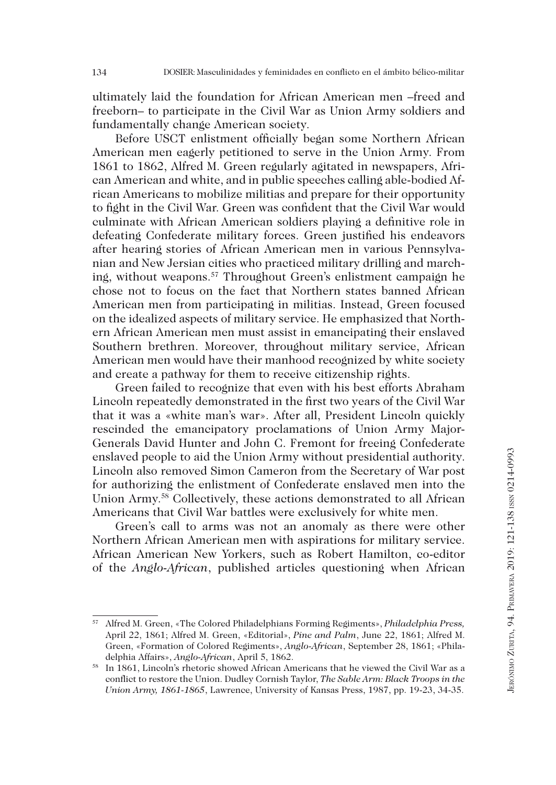ultimately laid the foundation for African American men –freed and freeborn– to participate in the Civil War as Union Army soldiers and fundamentally change American society.

Before USCT enlistment officially began some Northern African American men eagerly petitioned to serve in the Union Army. From 1861 to 1862, Alfred M. Green regularly agitated in newspapers, African American and white, and in public speeches calling able-bodied African Americans to mobilize militias and prepare for their opportunity to fight in the Civil War. Green was confident that the Civil War would culminate with African American soldiers playing a definitive role in defeating Confederate military forces. Green justified his endeavors after hearing stories of African American men in various Pennsylvanian and New Jersian cities who practiced military drilling and marching, without weapons.57 Throughout Green's enlistment campaign he chose not to focus on the fact that Northern states banned African American men from participating in militias. Instead, Green focused on the idealized aspects of military service. He emphasized that Northern African American men must assist in emancipating their enslaved Southern brethren. Moreover, throughout military service, African American men would have their manhood recognized by white society and create a pathway for them to receive citizenship rights.

Green failed to recognize that even with his best efforts Abraham Lincoln repeatedly demonstrated in the first two years of the Civil War that it was a «white man's war». After all, President Lincoln quickly rescinded the emancipatory proclamations of Union Army Major-Generals David Hunter and John C. Fremont for freeing Confederate enslaved people to aid the Union Army without presidential authority. Lincoln also removed Simon Cameron from the Secretary of War post for authorizing the enlistment of Confederate enslaved men into the Union Army.58 Collectively, these actions demonstrated to all African Americans that Civil War battles were exclusively for white men.

Green's call to arms was not an anomaly as there were other Northern African American men with aspirations for military service. African American New Yorkers, such as Robert Hamilton, co-editor of the *Anglo-African*, published articles questioning when African

<sup>57</sup> Alfred M. Green, «The Colored Philadelphians Forming Regiments», *Philadelphia Press,*  April 22, 1861; Alfred M. Green, «Editorial», *Pine and Palm*, June 22, 1861; Alfred M. Green, «Formation of Colored Regiments», *Anglo-African*, September 28, 1861; «Philadelphia Affairs», *Anglo-African*, April 5, 1862.

<sup>58</sup> In 1861, Lincoln's rhetoric showed African Americans that he viewed the Civil War as a conflict to restore the Union. Dudley Cornish Taylor, *The Sable Arm: Black Troops in the Union Army, 1861-1865*, Lawrence, University of Kansas Press, 1987, pp. 19-23, 34-35.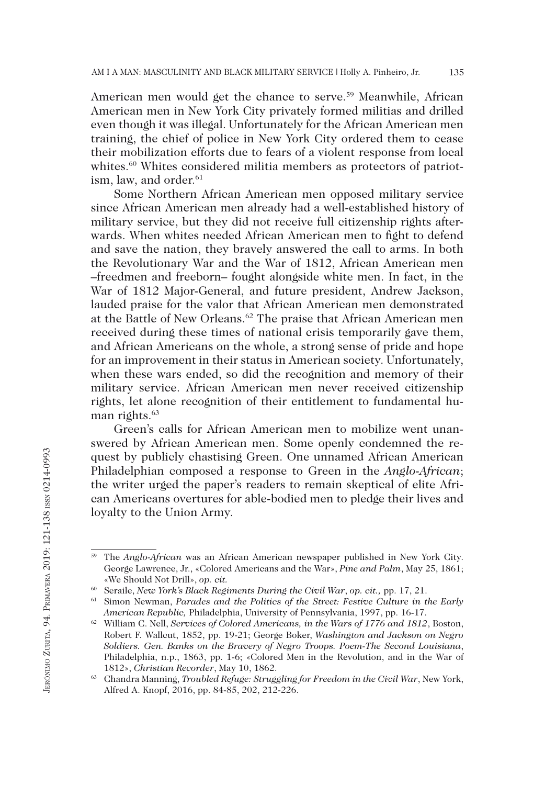American men would get the chance to serve.59 Meanwhile, African American men in New York City privately formed militias and drilled even though it was illegal. Unfortunately for the African American men training, the chief of police in New York City ordered them to cease their mobilization efforts due to fears of a violent response from local whites.<sup>60</sup> Whites considered militia members as protectors of patriotism, law, and order.<sup>61</sup>

Some Northern African American men opposed military service since African American men already had a well-established history of military service, but they did not receive full citizenship rights afterwards. When whites needed African American men to fight to defend and save the nation, they bravely answered the call to arms. In both the Revolutionary War and the War of 1812, African American men –freedmen and freeborn– fought alongside white men. In fact, in the War of 1812 Major-General, and future president, Andrew Jackson, lauded praise for the valor that African American men demonstrated at the Battle of New Orleans.62 The praise that African American men received during these times of national crisis temporarily gave them, and African Americans on the whole, a strong sense of pride and hope for an improvement in their status in American society. Unfortunately, when these wars ended, so did the recognition and memory of their military service. African American men never received citizenship rights, let alone recognition of their entitlement to fundamental human rights.<sup>63</sup>

Green's calls for African American men to mobilize went unanswered by African American men. Some openly condemned the request by publicly chastising Green. One unnamed African American Philadelphian composed a response to Green in the *Anglo-African*; the writer urged the paper's readers to remain skeptical of elite African Americans overtures for able-bodied men to pledge their lives and loyalty to the Union Army.

135

<sup>59</sup> The *Anglo-African* was an African American newspaper published in New York City. George Lawrence, Jr., «Colored Americans and the War», *Pine and Palm*, May 25, 1861; «We Should Not Drill», *op. cit.*

<sup>60</sup> Seraile, *New York's Black Regiments During the Civil War*, *op. cit.,* pp. 17, 21.

<sup>61</sup> Simon Newman, *Parades and the Politics of the Street: Festive Culture in the Early American Republic,* Philadelphia, University of Pennsylvania, 1997, pp. 16-17.

<sup>62</sup> William C. Nell, *Services of Colored Americans, in the Wars of 1776 and 1812*, Boston, Robert F. Wallcut, 1852, pp. 19-21; George Boker, *Washington and Jackson on Negro Soldiers. Gen. Banks on the Bravery of Negro Troops. Poem-The Second Louisiana*, Philadelphia, n.p., 1863, pp. 1-6; «Colored Men in the Revolution, and in the War of 1812», *Christian Recorder*, May 10, 1862.<br><sup>63</sup> Chandra Manning, *Troubled Refuge: Struggling for Freedom in the Civil War*, New York,

Alfred A. Knopf, 2016, pp. 84-85, 202, 212-226.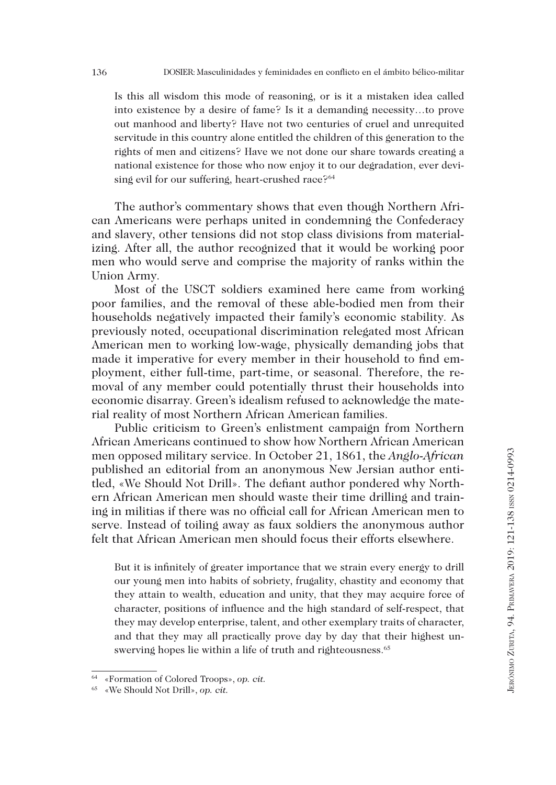Is this all wisdom this mode of reasoning, or is it a mistaken idea called into existence by a desire of fame? Is it a demanding necessity…to prove out manhood and liberty? Have not two centuries of cruel and unrequited servitude in this country alone entitled the children of this generation to the rights of men and citizens? Have we not done our share towards creating a national existence for those who now enjoy it to our degradation, ever devising evil for our suffering, heart-crushed race?<sup>64</sup>

The author's commentary shows that even though Northern African Americans were perhaps united in condemning the Confederacy and slavery, other tensions did not stop class divisions from materializing. After all, the author recognized that it would be working poor men who would serve and comprise the majority of ranks within the Union Army.

Most of the USCT soldiers examined here came from working poor families, and the removal of these able-bodied men from their households negatively impacted their family's economic stability. As previously noted, occupational discrimination relegated most African American men to working low-wage, physically demanding jobs that made it imperative for every member in their household to find employment, either full-time, part-time, or seasonal. Therefore, the removal of any member could potentially thrust their households into economic disarray. Green's idealism refused to acknowledge the material reality of most Northern African American families.

Public criticism to Green's enlistment campaign from Northern African Americans continued to show how Northern African American men opposed military service. In October 21, 1861, the *Anglo-African* published an editorial from an anonymous New Jersian author entitled, «We Should Not Drill». The defiant author pondered why Northern African American men should waste their time drilling and training in militias if there was no official call for African American men to serve. Instead of toiling away as faux soldiers the anonymous author felt that African American men should focus their efforts elsewhere.

But it is infinitely of greater importance that we strain every energy to drill our young men into habits of sobriety, frugality, chastity and economy that they attain to wealth, education and unity, that they may acquire force of character, positions of influence and the high standard of self-respect, that they may develop enterprise, talent, and other exemplary traits of character, and that they may all practically prove day by day that their highest unswerving hopes lie within a life of truth and righteousness.<sup>65</sup>

<sup>64</sup> «Formation of Colored Troops», *op. cit.*

<sup>65</sup> «We Should Not Drill», *op. cit.*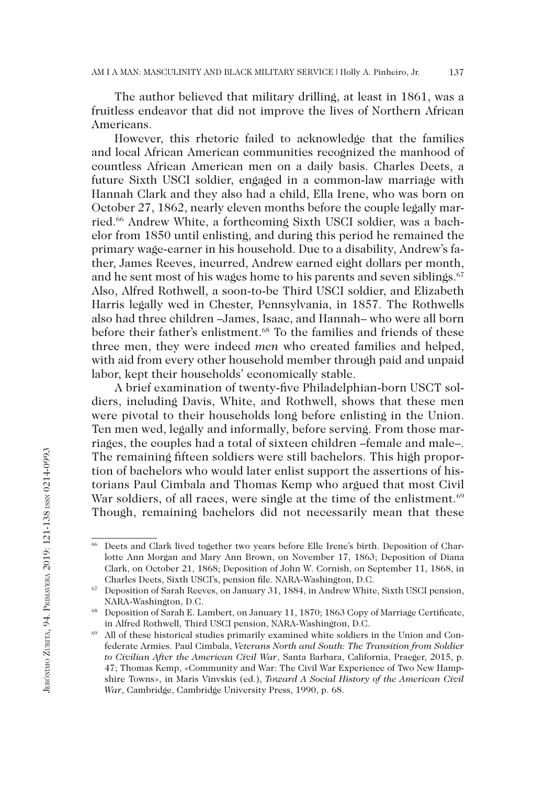The author believed that military drilling, at least in 1861, was a fruitless endeavor that did not improve the lives of Northern African Americans.

However, this rhetoric failed to acknowledge that the families and local African American communities recognized the manhood of countless African American men on a daily basis. Charles Deets, a future Sixth USCI soldier, engaged in a common-law marriage with Hannah Clark and they also had a child, Ella Irene, who was born on October 27, 1862, nearly eleven months before the couple legally married.66 Andrew White, a forthcoming Sixth USCI soldier, was a bachelor from 1850 until enlisting, and during this period he remained the primary wage-earner in his household. Due to a disability, Andrew's father, James Reeves, incurred, Andrew earned eight dollars per month, and he sent most of his wages home to his parents and seven siblings.<sup>67</sup> Also, Alfred Rothwell, a soon-to-be Third USCI soldier, and Elizabeth Harris legally wed in Chester, Pennsylvania, in 1857. The Rothwells also had three children –James, Isaac, and Hannah– who were all born before their father's enlistment.<sup>68</sup> To the families and friends of these three men, they were indeed *men* who created families and helped, with aid from every other household member through paid and unpaid labor, kept their households' economically stable.

A brief examination of twenty-five Philadelphian-born USCT soldiers, including Davis, White, and Rothwell, shows that these men were pivotal to their households long before enlisting in the Union. Ten men wed, legally and informally, before serving. From those marriages, the couples had a total of sixteen children –female and male–. The remaining fifteen soldiers were still bachelors. This high proportion of bachelors who would later enlist support the assertions of historians Paul Cimbala and Thomas Kemp who argued that most Civil War soldiers, of all races, were single at the time of the enlistment.<sup>69</sup> Though, remaining bachelors did not necessarily mean that these

<sup>66</sup> Deets and Clark lived together two years before Elle Irene's birth. Deposition of Charlotte Ann Morgan and Mary Ann Brown, on November 17, 1863; Deposition of Diana Clark, on October 21, 1868; Deposition of John W. Cornish, on September 11, 1868, in Charles Deets, Sixth USCI's, pension file. NARA-Washington, D.C.

<sup>67</sup> Deposition of Sarah Reeves, on January 31, 1884, in Andrew White, Sixth USCI pension, NARA-Washington, D.C. 68 Deposition of Sarah E. Lambert, on January 11, 1870; 1863 Copy of Marriage Certificate,

in Alfred Rothwell, Third USCI pension, NARA-Washington, D.C. 69 All of these historical studies primarily examined white soldiers in the Union and Con-

federate Armies. Paul Cimbala, *Veterans North and South: The Transition from Soldier to Civilian After the American Civil War*, Santa Barbara, California, Praeger, 2015, p. 47; Thomas Kemp, «Community and War: The Civil War Experience of Two New Hampshire Towns», in Maris Vinvskis (ed.), *Toward A Social History of the American Civil War*, Cambridge, Cambridge University Press, 1990, p. 68.